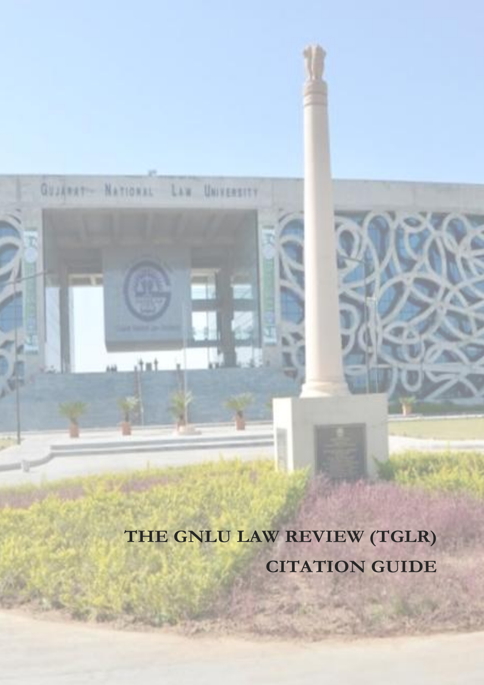**THE GNLU LAW REVIEW (TGLR) CITATION GUIDE**

GUJARAT- NATIONAL LAW UNIVERSITY

dut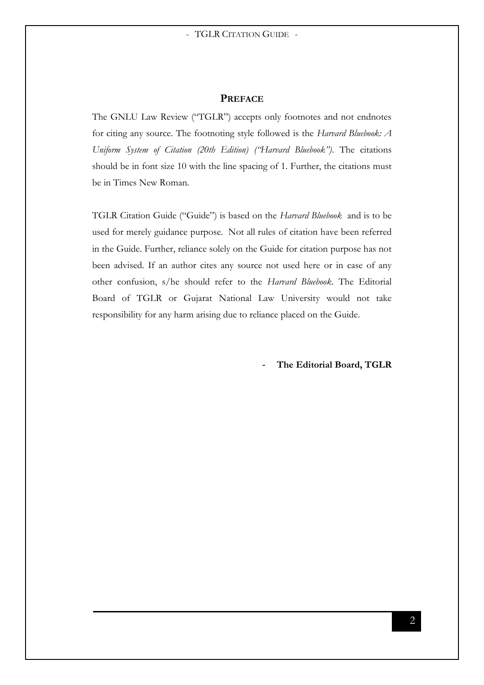#### **PREFACE**

The GNLU Law Review ("TGLR") accepts only footnotes and not endnotes for citing any source. The footnoting style followed is the *Harvard Bluebook: A Uniform System of Citation (20th Edition) ("Harvard Bluebook")*. The citations should be in font size 10 with the line spacing of 1. Further, the citations must be in Times New Roman.

TGLR Citation Guide ("Guide") is based on the *Harvard Bluebook* and is to be used for merely guidance purpose. Not all rules of citation have been referred in the Guide. Further, reliance solely on the Guide for citation purpose has not been advised. If an author cites any source not used here or in case of any other confusion, s/he should refer to the *Harvard Bluebook*. The Editorial Board of TGLR or Gujarat National Law University would not take responsibility for any harm arising due to reliance placed on the Guide.

The Editorial Board, TGLR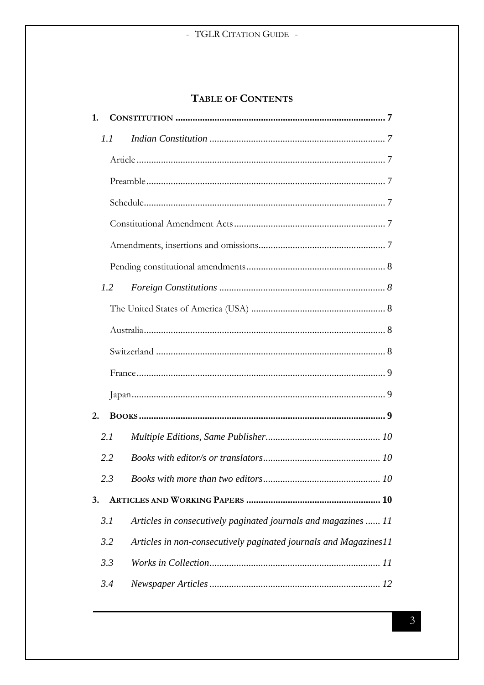# TABLE OF CONTENTS

| 1. |               |                                                                  |  |  |
|----|---------------|------------------------------------------------------------------|--|--|
|    | 1.1           |                                                                  |  |  |
|    |               |                                                                  |  |  |
|    |               |                                                                  |  |  |
|    |               |                                                                  |  |  |
|    |               |                                                                  |  |  |
|    |               |                                                                  |  |  |
|    |               |                                                                  |  |  |
|    | 1.2           |                                                                  |  |  |
|    |               |                                                                  |  |  |
|    |               |                                                                  |  |  |
|    |               |                                                                  |  |  |
|    |               |                                                                  |  |  |
|    |               |                                                                  |  |  |
| 2. |               |                                                                  |  |  |
|    | 2.1           |                                                                  |  |  |
|    | 2.2           |                                                                  |  |  |
|    | $2.3^{\circ}$ |                                                                  |  |  |
| 3. |               |                                                                  |  |  |
|    | 3.1           | Articles in consecutively paginated journals and magazines  11   |  |  |
|    | 3.2           | Articles in non-consecutively paginated journals and Magazines11 |  |  |
|    | 3.3           |                                                                  |  |  |
|    | 3.4           |                                                                  |  |  |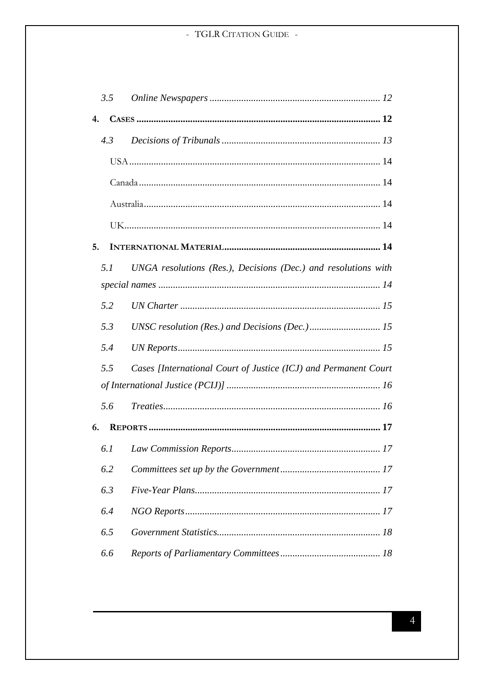|    | 3.5 |                                                                 |  |  |  |  |
|----|-----|-----------------------------------------------------------------|--|--|--|--|
| 4. |     |                                                                 |  |  |  |  |
|    | 4.3 |                                                                 |  |  |  |  |
|    |     |                                                                 |  |  |  |  |
|    |     |                                                                 |  |  |  |  |
|    |     |                                                                 |  |  |  |  |
|    |     |                                                                 |  |  |  |  |
| 5. |     |                                                                 |  |  |  |  |
|    | 5.1 | UNGA resolutions (Res.), Decisions (Dec.) and resolutions with  |  |  |  |  |
|    |     |                                                                 |  |  |  |  |
|    | 5.2 |                                                                 |  |  |  |  |
|    | 5.3 |                                                                 |  |  |  |  |
|    | 5.4 |                                                                 |  |  |  |  |
|    | 5.5 | Cases [International Court of Justice (ICJ) and Permanent Court |  |  |  |  |
|    |     |                                                                 |  |  |  |  |
|    | 5.6 |                                                                 |  |  |  |  |
| 6. |     |                                                                 |  |  |  |  |
|    | 6.1 |                                                                 |  |  |  |  |
|    | 6.2 |                                                                 |  |  |  |  |
|    | 6.3 |                                                                 |  |  |  |  |
|    | 6.4 |                                                                 |  |  |  |  |
|    | 6.5 |                                                                 |  |  |  |  |
|    | 6.6 |                                                                 |  |  |  |  |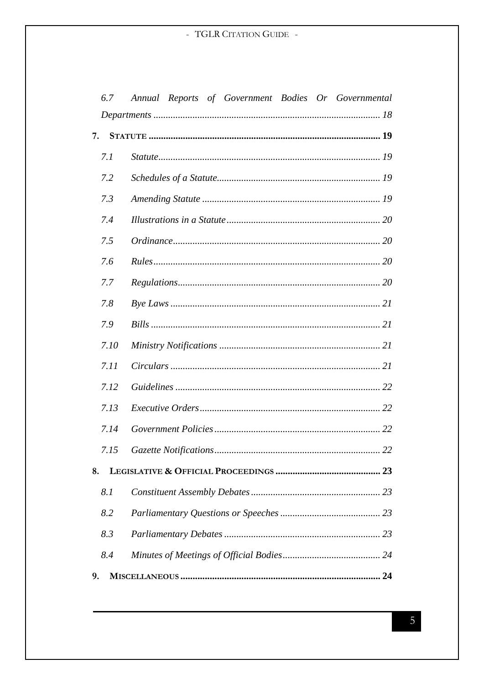|    | 6.7  | Annual Reports of Government Bodies Or Governmental |
|----|------|-----------------------------------------------------|
|    |      |                                                     |
| 7. |      |                                                     |
|    | 7.1  |                                                     |
|    | 7.2  |                                                     |
|    | 7.3  |                                                     |
|    | 7.4  |                                                     |
|    | 7.5  |                                                     |
|    | 7.6  |                                                     |
|    | 7.7  |                                                     |
|    | 7.8  |                                                     |
|    | 7.9  |                                                     |
|    | 7.10 |                                                     |
|    | 7.11 |                                                     |
|    | 7.12 |                                                     |
|    | 7.13 |                                                     |
|    | 7.14 |                                                     |
|    | 7.15 |                                                     |
| 8. |      |                                                     |
|    | 8.1  |                                                     |
|    | 8.2  |                                                     |
|    | 8.3  |                                                     |
|    | 8.4  |                                                     |
| 9. |      |                                                     |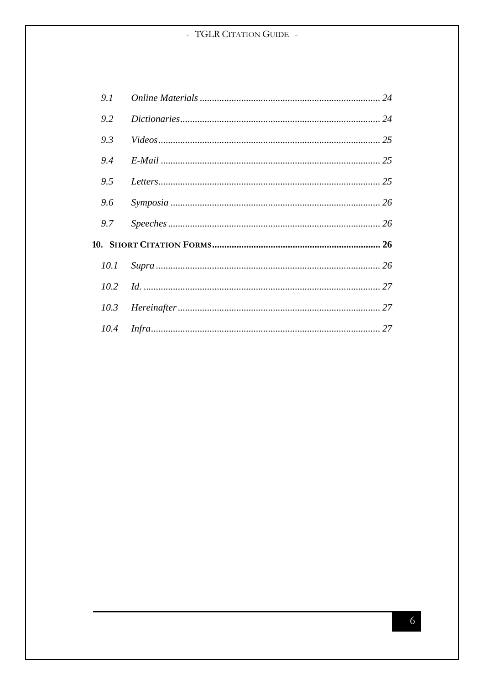| 9.1 |  |
|-----|--|
| 9.2 |  |
| 9.3 |  |
| 9.4 |  |
| 9.5 |  |
| 9.6 |  |
| 9.7 |  |
|     |  |
|     |  |
|     |  |
|     |  |
|     |  |

 $\overline{6}$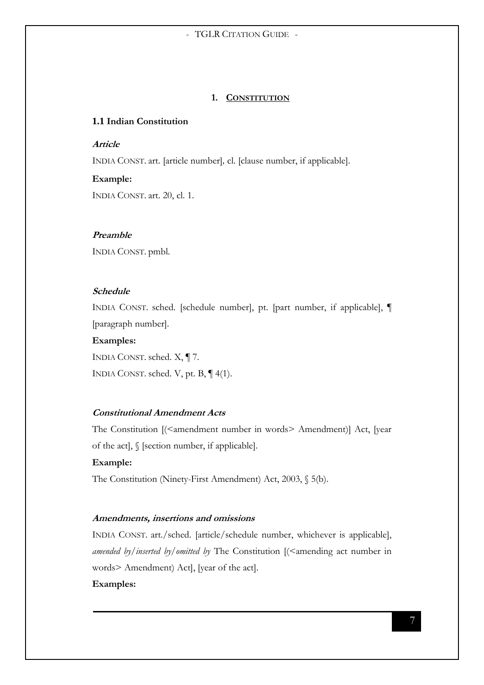#### **1. CONSTITUTION**

# <span id="page-6-1"></span><span id="page-6-0"></span>**1.1 Indian Constitution**

#### <span id="page-6-2"></span>**Article**

INDIA CONST. art. [article number]*,* cl. [clause number, if applicable].

#### **Example:**

INDIA CONST. art. 20, cl. 1.

#### <span id="page-6-3"></span>**Preamble**

INDIA CONST. pmbl.

# <span id="page-6-4"></span>**Schedule**

INDIA CONST. sched. [schedule number], pt. [part number, if applicable], ¶ [paragraph number].

# **Examples:**

INDIA CONST. sched. X, ¶ 7. INDIA CONST. sched. V, pt. B, ¶ 4(1).

# <span id="page-6-5"></span>**Constitutional Amendment Acts**

The Constitution [(<amendment number in words> Amendment)] Act, [year of the act], § [section number, if applicable].

#### **Example:**

The Constitution (Ninety-First Amendment) Act, 2003, § 5(b).

#### <span id="page-6-6"></span>**Amendments, insertions and omissions**

INDIA CONST. art./sched. [article/schedule number, whichever is applicable], *amended by/inserted by/omitted by The Constitution [(<amending act number in* words> Amendment) Act], [year of the act].

# **Examples:**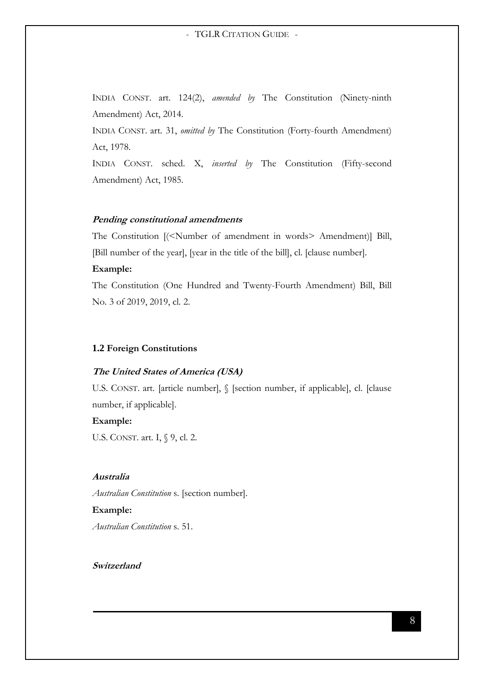INDIA CONST. art. 124(2), *amended by* The Constitution (Ninety-ninth Amendment) Act, 2014.

INDIA CONST. art. 31, *omitted by* The Constitution (Forty-fourth Amendment) Act, 1978.

INDIA CONST. sched. X, *inserted by* The Constitution (Fifty-second Amendment) Act, 1985.

#### <span id="page-7-0"></span>**Pending constitutional amendments**

The Constitution [(<Number of amendment in words> Amendment)] Bill, [Bill number of the year], [year in the title of the bill], cl. [clause number].

#### **Example:**

The Constitution (One Hundred and Twenty-Fourth Amendment) Bill, Bill No. 3 of 2019, 2019, cl. 2.

#### <span id="page-7-1"></span>**1.2 Foreign Constitutions**

#### <span id="page-7-2"></span>**The United States of America (USA)**

U.S. CONST. art. [article number],  $\int$  [section number, if applicable], cl. [clause number, if applicable].

#### **Example:**

U.S. CONST. art. I, § 9, cl. 2.

#### <span id="page-7-3"></span>**Australia**

*Australian Constitution* s. [section number].

#### **Example:**

*Australian Constitution* s. 51.

#### <span id="page-7-4"></span>**Switzerland**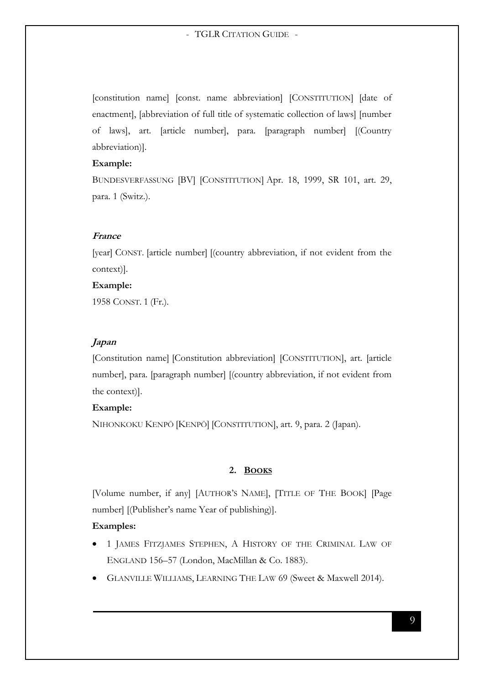[constitution name] [const. name abbreviation] [CONSTITUTION] [date of enactment], [abbreviation of full title of systematic collection of laws] [number of laws], art. [article number], para. [paragraph number] [(Country abbreviation)].

#### **Example:**

BUNDESVERFASSUNG [BV] [CONSTITUTION] Apr. 18, 1999, SR 101, art. 29, para. 1 (Switz.).

#### <span id="page-8-0"></span>**France**

[year] CONST. [article number] [(country abbreviation, if not evident from the context)].

#### **Example:**

1958 CONST. 1 (Fr.).

#### <span id="page-8-1"></span>**Japan**

[Constitution name] [Constitution abbreviation] [CONSTITUTION], art. [article number], para. [paragraph number] [(country abbreviation, if not evident from the context)].

#### **Example:**

NIHONKOKU KENPŌ [KENPŌ] [CONSTITUTION], art. 9, para. 2 (Japan).

#### **2. BOOKS**

<span id="page-8-2"></span>[Volume number, if any] [AUTHOR'S NAME], [TITLE OF THE BOOK] [Page number] [(Publisher's name Year of publishing)].

#### **Examples:**

- 1 JAMES FITZJAMES STEPHEN, A HISTORY OF THE CRIMINAL LAW OF ENGLAND 156–57 (London, MacMillan & Co. 1883).
- GLANVILLE WILLIAMS, LEARNING THE LAW 69 (Sweet & Maxwell 2014).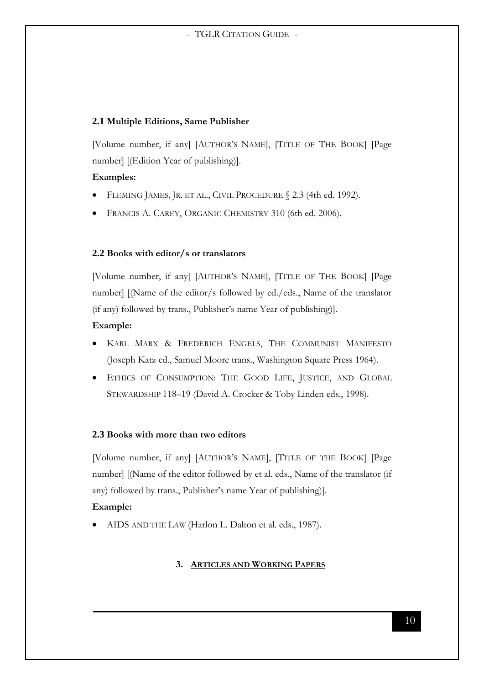# <span id="page-9-0"></span>**2.1 Multiple Editions, Same Publisher**

[Volume number, if any] [AUTHOR'S NAME], [TITLE OF THE BOOK] [Page number] [(Edition Year of publishing)].

# **Examples:**

- FLEMING JAMES, JR. ET AL., CIVIL PROCEDURE § 2.3 (4th ed. 1992).
- FRANCIS A. CAREY, ORGANIC CHEMISTRY 310 (6th ed. 2006).

# <span id="page-9-1"></span>**2.2 Books with editor/s or translators**

[Volume number, if any] [AUTHOR'S NAME], [TITLE OF THE BOOK] [Page number] [(Name of the editor/s followed by ed./eds., Name of the translator (if any) followed by trans., Publisher's name Year of publishing)].

# **Example:**

- KARL MARX & FREDERICH ENGELS, THE COMMUNIST MANIFESTO (Joseph Katz ed., Samuel Moore trans., Washington Square Press 1964).
- ETHICS OF CONSUMPTION: THE GOOD LIFE, JUSTICE, AND GLOBAL STEWARDSHIP 118-19 (David A. Crocker & Toby Linden eds., 1998).

# <span id="page-9-2"></span>**2.3 Books with more than two editors**

[Volume number, if any] [AUTHOR'S NAME], [TITLE OF THE BOOK] [Page number] [(Name of the editor followed by et al. eds., Name of the translator (if any) followed by trans., Publisher's name Year of publishing)].

# **Example:**

<span id="page-9-3"></span>AIDS AND THE LAW (Harlon L. Dalton et al. eds., 1987).

# **3. ARTICLES AND WORKING PAPERS**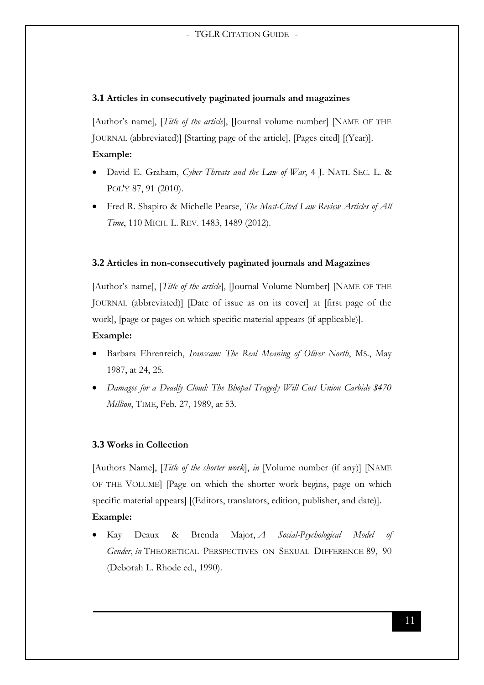# <span id="page-10-0"></span>**3.1 Articles in consecutively paginated journals and magazines**

[Author's name], [*Title of the article*], [Journal volume number] [NAME OF THE JOURNAL (abbreviated)] [Starting page of the article], [Pages cited] [(Year)]. **Example:**

- David E. Graham, *Cyber Threats and the Law of War*, 4 J. NATL SEC. L. & POL'Y 87, 91 (2010).
- Fred R. Shapiro & Michelle Pearse, *The Most-Cited Law Review Articles of All Time*, 110 MICH. L. REV. 1483, 1489 (2012).

# <span id="page-10-1"></span>**3.2 Articles in non-consecutively paginated journals and Magazines**

[Author's name], [*Title of the article*], [Journal Volume Number] [NAME OF THE JOURNAL (abbreviated)] [Date of issue as on its cover] at [first page of the work], [page or pages on which specific material appears (if applicable)].

# **Example:**

- Barbara Ehrenreich, *Iranscam: The Real Meaning of Oliver North*, MS., May 1987, at 24, 25.
- *Damages for a Deadly Cloud: The Bhopal Tragedy Will Cost Union Carbide \$470 Million*, TIME, Feb. 27, 1989, at 53.

# <span id="page-10-2"></span>**3.3 Works in Collection**

[Authors Name], [*Title of the shorter work*], *in* [Volume number (if any)] [NAME OF THE VOLUME] [Page on which the shorter work begins, page on which specific material appears] [(Editors, translators, edition, publisher, and date)].

# **Example:**

 Kay Deaux & Brenda Major, *A Social-Psychological Model of Gender*, *in* THEORETICAL PERSPECTIVES ON SEXUAL DIFFERENCE 89, 90 (Deborah L. Rhode ed., 1990).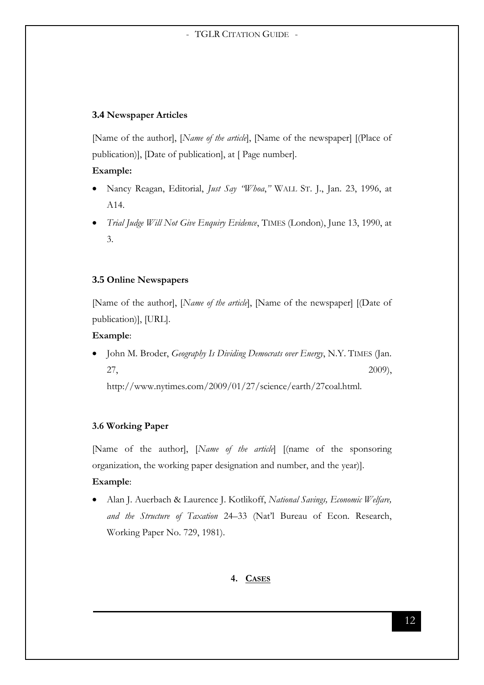# <span id="page-11-0"></span>**3.4 Newspaper Articles**

[Name of the author], [*Name of the article*], [Name of the newspaper] [(Place of publication)], [Date of publication], at [ Page number].

# **Example:**

- Nancy Reagan, Editorial, *Just Say "Whoa*,*"* WALL ST. J., Jan. 23, 1996, at A14.
- *Trial Judge Will Not Give Enquiry Evidence*, TIMES (London), June 13, 1990, at 3.

# <span id="page-11-1"></span>**3.5 Online Newspapers**

[Name of the author], [*Name of the article*], [Name of the newspaper] [(Date of publication)], [URL].

# **Example**:

 John M. Broder, *Geography Is Dividing Democrats over Energy*, N.Y. TIMES (Jan. 27,  $2009$ ,

http://www.nytimes.com/2009/01/27/science/earth/27coal.html.

# **3.6 Working Paper**

[Name of the author], [*Name of the article*] [(name of the sponsoring organization, the working paper designation and number, and the year)].

# **Example**:

<span id="page-11-2"></span> Alan J. Auerbach & Laurence J. Kotlikoff, *National Savings, Economic Welfare, and the Structure of Taxation* 24–33 (Nat'l Bureau of Econ. Research, Working Paper No. 729, 1981).

# **4. CASES**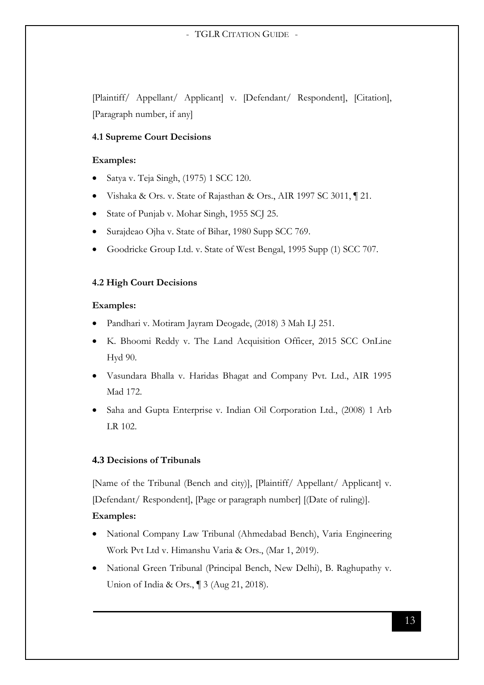[Plaintiff/ Appellant/ Applicant] v. [Defendant/ Respondent], [Citation], [Paragraph number, if any]

## **4.1 Supreme Court Decisions**

#### **Examples:**

- Satya v. Teja Singh, (1975) 1 SCC 120.
- Vishaka & Ors. v. State of Rajasthan & Ors., AIR 1997 SC 3011, ¶ 21.
- State of Punjab v. Mohar Singh, 1955 SCJ 25.
- Surajdeao Ojha v. State of Bihar, 1980 Supp SCC 769.
- Goodricke Group Ltd. v. State of West Bengal, 1995 Supp (1) SCC 707.

#### **4.2 High Court Decisions**

#### **Examples:**

- Pandhari v. Motiram Jayram Deogade, (2018) 3 Mah LJ 251.
- K. Bhoomi Reddy v. The Land Acquisition Officer, 2015 SCC OnLine Hyd 90.
- Vasundara Bhalla v. Haridas Bhagat and Company Pvt. Ltd., AIR 1995 Mad 172.
- Saha and Gupta Enterprise v. Indian Oil Corporation Ltd., (2008) 1 Arb LR 102.

# <span id="page-12-0"></span>**4.3 Decisions of Tribunals**

[Name of the Tribunal (Bench and city)], [Plaintiff/ Appellant/ Applicant] v. [Defendant/ Respondent], [Page or paragraph number] [(Date of ruling)].

#### **Examples:**

- National Company Law Tribunal (Ahmedabad Bench), Varia Engineering Work Pvt Ltd v. Himanshu Varia & Ors., (Mar 1, 2019).
- National Green Tribunal (Principal Bench, New Delhi), B. Raghupathy v. Union of India & Ors., ¶ 3 (Aug 21, 2018).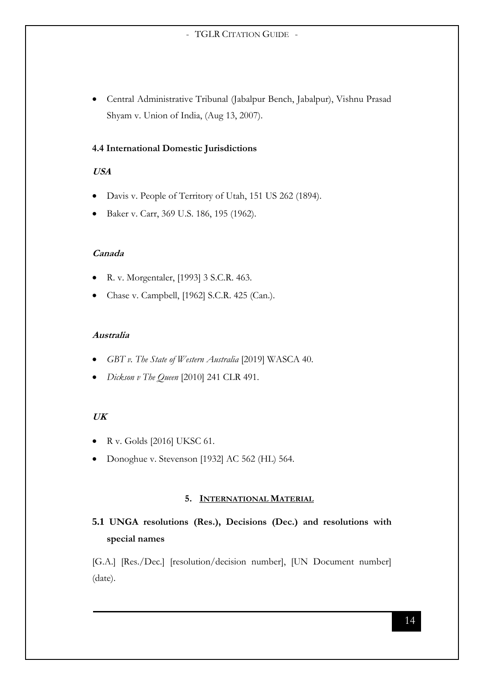Central Administrative Tribunal (Jabalpur Bench, Jabalpur), Vishnu Prasad Shyam v. Union of India, (Aug 13, 2007).

# **4.4 International Domestic Jurisdictions**

# <span id="page-13-0"></span>**USA**

- Davis v. People of Territory of Utah, 151 US 262 (1894).
- Baker v. Carr, 369 U.S. 186, 195 (1962).

# <span id="page-13-1"></span>**Canada**

- R. v. Morgentaler, [1993] 3 S.C.R. 463.
- Chase v. Campbell, [1962] S.C.R. 425 (Can.).

# <span id="page-13-2"></span>**Australia**

- *GBT v. The State of Western Australia* [2019] WASCA 40.
- *Dickson v The Queen* [2010] 241 CLR 491.

# <span id="page-13-3"></span>**UK**

- R v. Golds [2016] UKSC 61.
- Donoghue v. Stevenson [1932] AC 562 (HL) 564.

# **5. INTERNATIONAL MATERIAL**

# <span id="page-13-5"></span><span id="page-13-4"></span>**5.1 UNGA resolutions (Res.), Decisions (Dec.) and resolutions with special names**

[G.A.] [Res./Dec.] [resolution/decision number], [UN Document number] (date).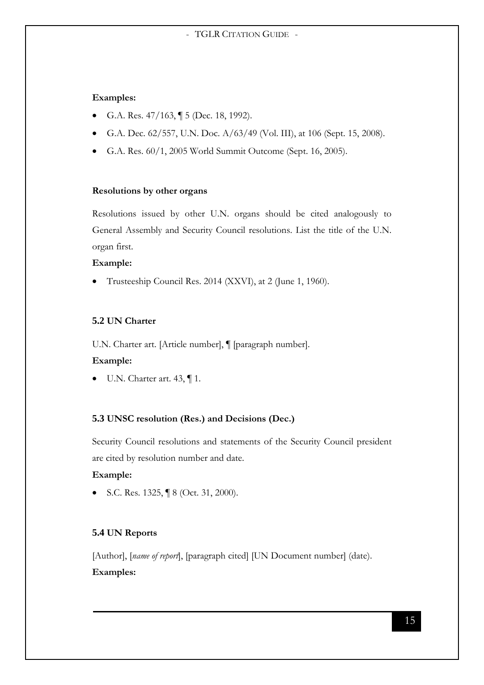## **Examples:**

- G.A. Res.  $47/163$ ,  $\sqrt{ }5$  (Dec. 18, 1992).
- G.A. Dec. 62/557, U.N. Doc. A/63/49 (Vol. III), at 106 (Sept. 15, 2008).
- G.A. Res. 60/1, 2005 World Summit Outcome (Sept. 16, 2005).

#### **Resolutions by other organs**

Resolutions issued by other U.N. organs should be cited analogously to General Assembly and Security Council resolutions. List the title of the U.N. organ first.

#### **Example:**

Trusteeship Council Res. 2014 (XXVI), at 2 (June 1, 1960).

#### <span id="page-14-0"></span>**5.2 UN Charter**

U.N. Charter art. [Article number], ¶ [paragraph number].

#### **Example:**

 $\bullet$  U.N. Charter art. 43,  $\P$ 1.

## <span id="page-14-1"></span>**5.3 UNSC resolution (Res.) and Decisions (Dec.)**

Security Council resolutions and statements of the Security Council president are cited by resolution number and date.

#### **Example:**

S.C. Res. 1325, ¶ 8 (Oct. 31, 2000).

## <span id="page-14-2"></span>**5.4 UN Reports**

[Author], [*name of report*], [paragraph cited] [UN Document number] (date). **Examples:**

15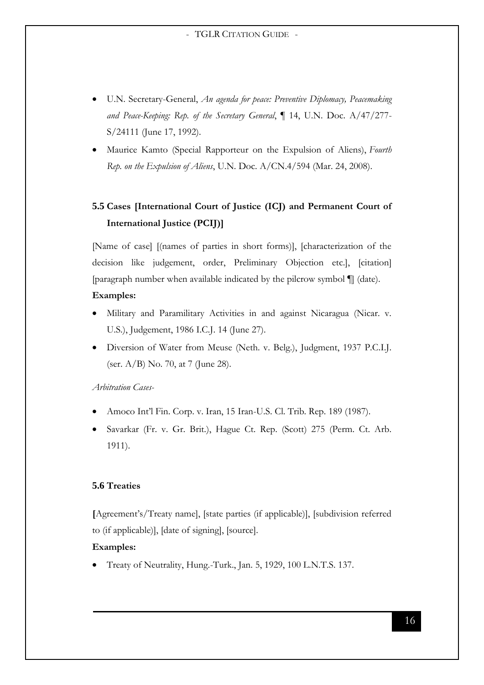- U.N. Secretary-General, *An agenda for peace: Preventive Diplomacy, Peacemaking and Peace-Keeping: Rep. of the Secretary General*, ¶ 14, U.N. Doc. A/47/277- S/24111 (June 17, 1992).
- Maurice Kamto (Special Rapporteur on the Expulsion of Aliens), *Fourth Rep. on the Expulsion of Aliens*, U.N. Doc. A/CN.4/594 (Mar. 24, 2008).

# <span id="page-15-0"></span>**5.5 Cases [International Court of Justice (ICJ) and Permanent Court of International Justice (PCIJ)]**

[Name of case] [(names of parties in short forms)], [characterization of the decision like judgement, order, Preliminary Objection etc.], [citation] [paragraph number when available indicated by the pilcrow symbol ¶] (date).

#### **Examples:**

- Military and Paramilitary Activities in and against Nicaragua (Nicar. v. U.S.), Judgement, 1986 I.C.J. 14 (June 27).
- Diversion of Water from Meuse (Neth. v. Belg.), Judgment, 1937 P.C.I.J. (ser. A/B) No. 70, at 7 (June 28).

## *Arbitration Cases-*

- Amoco Int'l Fin. Corp. v. Iran, 15 Iran-U.S. Cl. Trib. Rep. 189 (1987).
- Savarkar (Fr. v. Gr. Brit.), Hague Ct. Rep. (Scott) 275 (Perm. Ct. Arb. 1911).

# <span id="page-15-1"></span>**5.6 Treaties**

**[**Agreement's/Treaty name], [state parties (if applicable)], [subdivision referred to (if applicable)], [date of signing], [source].

#### **Examples:**

Treaty of Neutrality, Hung.-Turk., Jan. 5, 1929, 100 L.N.T.S. 137.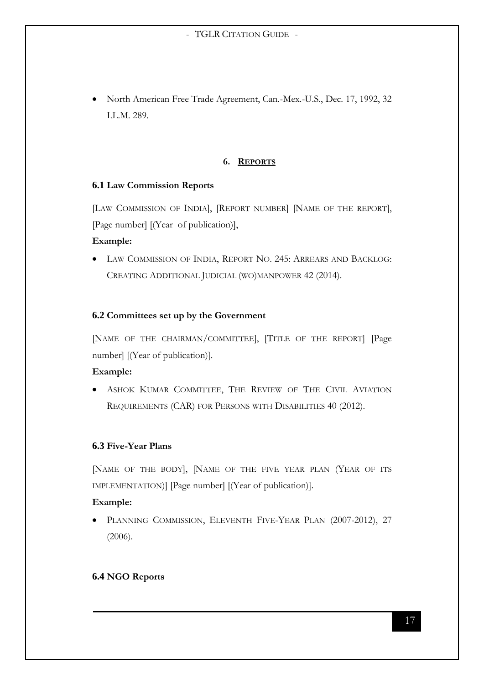North American Free Trade Agreement, Can.-Mex.-U.S., Dec. 17, 1992, 32 I.L.M. 289.

# **6. REPORTS**

# <span id="page-16-1"></span><span id="page-16-0"></span>**6.1 Law Commission Reports**

[LAW COMMISSION OF INDIA], [REPORT NUMBER] [NAME OF THE REPORT], [Page number] [(Year of publication)],

# **Example:**

 LAW COMMISSION OF INDIA, REPORT NO. 245: ARREARS AND BACKLOG: CREATING ADDITIONAL JUDICIAL (WO)MANPOWER 42 (2014).

# <span id="page-16-2"></span>**6.2 Committees set up by the Government**

[NAME OF THE CHAIRMAN/COMMITTEE], [TITLE OF THE REPORT] [Page number] [(Year of publication)].

# **Example:**

 ASHOK KUMAR COMMITTEE, THE REVIEW OF THE CIVIL AVIATION REQUIREMENTS (CAR) FOR PERSONS WITH DISABILITIES 40 (2012).

# <span id="page-16-3"></span>**6.3 Five-Year Plans**

[NAME OF THE BODY], [NAME OF THE FIVE YEAR PLAN (YEAR OF ITS IMPLEMENTATION)] [Page number] [(Year of publication)].

# **Example:**

 PLANNING COMMISSION, ELEVENTH FIVE-YEAR PLAN (2007-2012), 27 (2006).

# <span id="page-16-4"></span>**6.4 NGO Reports**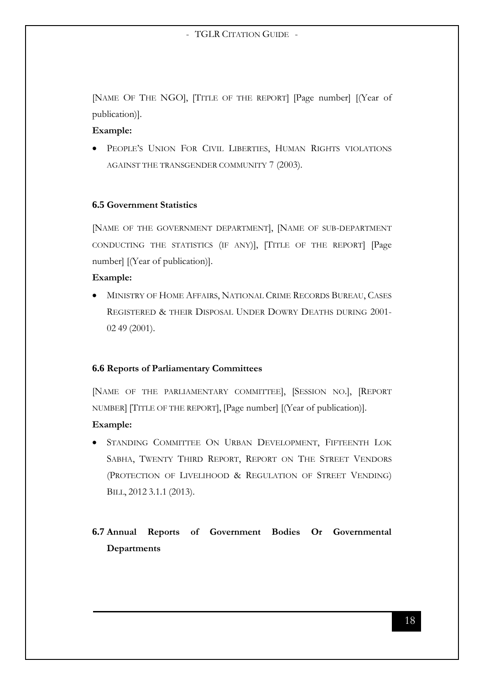[NAME OF THE NGO], [TITLE OF THE REPORT] [Page number] [(Year of publication)].

#### **Example:**

 PEOPLE'S UNION FOR CIVIL LIBERTIES, HUMAN RIGHTS VIOLATIONS AGAINST THE TRANSGENDER COMMUNITY 7 (2003).

#### <span id="page-17-0"></span>**6.5 Government Statistics**

[NAME OF THE GOVERNMENT DEPARTMENT], [NAME OF SUB-DEPARTMENT CONDUCTING THE STATISTICS (IF ANY)], [TITLE OF THE REPORT] [Page number] [(Year of publication)].

#### **Example:**

 $\bullet$  MINISTRY OF HOME AFFAIRS, NATIONAL CRIME RECORDS BUREAU, CASES REGISTERED & THEIR DISPOSAL UNDER DOWRY DEATHS DURING 2001- 02 49 (2001).

# <span id="page-17-1"></span>**6.6 Reports of Parliamentary Committees**

[NAME OF THE PARLIAMENTARY COMMITTEE], [SESSION NO.], [REPORT NUMBER] [TITLE OF THE REPORT], [Page number] [(Year of publication)].

#### **Example:**

 STANDING COMMITTEE ON URBAN DEVELOPMENT, FIFTEENTH LOK SABHA, TWENTY THIRD REPORT, REPORT ON THE STREET VENDORS (PROTECTION OF LIVELIHOOD & REGULATION OF STREET VENDING) BILL, 2012 3.1.1 (2013).

# <span id="page-17-2"></span>**6.7 Annual Reports of Government Bodies Or Governmental Departments**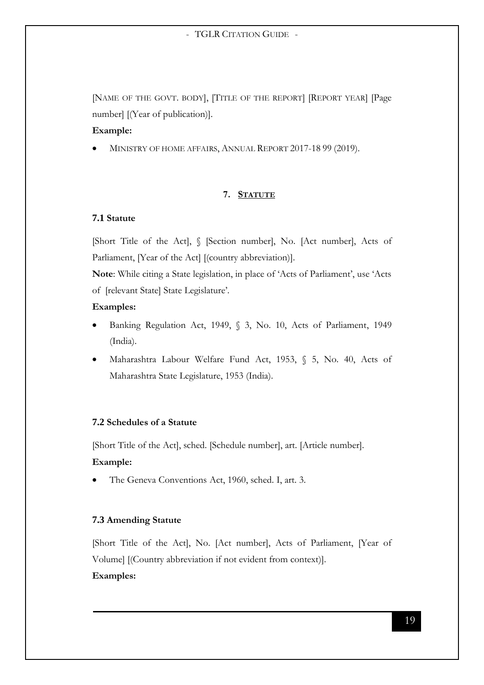[NAME OF THE GOVT. BODY], [TITLE OF THE REPORT] [REPORT YEAR] [Page number] [(Year of publication)].

# **Example:**

MINISTRY OF HOME AFFAIRS, ANNUAL REPORT 2017-18 99 (2019).

# **7. STATUTE**

# <span id="page-18-1"></span><span id="page-18-0"></span>**7.1 Statute**

[Short Title of the Act], § [Section number], No. [Act number], Acts of Parliament, [Year of the Act] [(country abbreviation)].

**Note**: While citing a State legislation, in place of 'Acts of Parliament', use 'Acts of [relevant State] State Legislature'.

# **Examples:**

- Banking Regulation Act, 1949, § 3, No. 10, Acts of Parliament, 1949 (India).
- Maharashtra Labour Welfare Fund Act, 1953, § 5, No. 40, Acts of Maharashtra State Legislature, 1953 (India).

## <span id="page-18-2"></span>**7.2 Schedules of a Statute**

[Short Title of the Act], sched. [Schedule number], art. [Article number]. **Example:**

The Geneva Conventions Act, 1960, sched. I, art. 3.

# <span id="page-18-3"></span>**7.3 Amending Statute**

[Short Title of the Act], No. [Act number], Acts of Parliament, [Year of Volume] [(Country abbreviation if not evident from context)].

# **Examples:**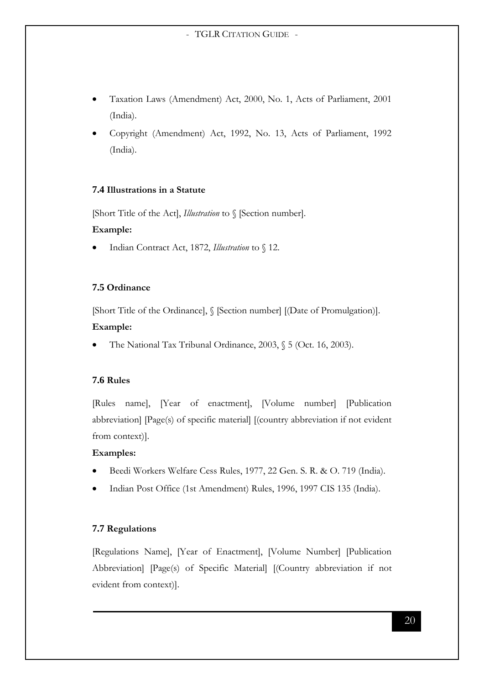- Taxation Laws (Amendment) Act, 2000, No. 1, Acts of Parliament, 2001 (India).
- Copyright (Amendment) Act, 1992, No. 13, Acts of Parliament, 1992 (India).

# <span id="page-19-0"></span>**7.4 Illustrations in a Statute**

[Short Title of the Act], *Illustration* to § [Section number].

# **Example:**

Indian Contract Act, 1872, *Illustration* to § 12.

# <span id="page-19-1"></span>**7.5 Ordinance**

[Short Title of the Ordinance], § [Section number] [(Date of Promulgation)].

# **Example:**

The National Tax Tribunal Ordinance, 2003, § 5 (Oct. 16, 2003).

# <span id="page-19-2"></span>**7.6 Rules**

[Rules name], [Year of enactment], [Volume number] [Publication abbreviation] [Page(s) of specific material] [(country abbreviation if not evident from context)].

# **Examples:**

- Beedi Workers Welfare Cess Rules, 1977, 22 Gen. S. R. & O. 719 (India).
- Indian Post Office (1st Amendment) Rules, 1996, 1997 CIS 135 (India).

# <span id="page-19-3"></span>**7.7 Regulations**

[Regulations Name], [Year of Enactment], [Volume Number] [Publication Abbreviation] [Page(s) of Specific Material] [(Country abbreviation if not evident from context)].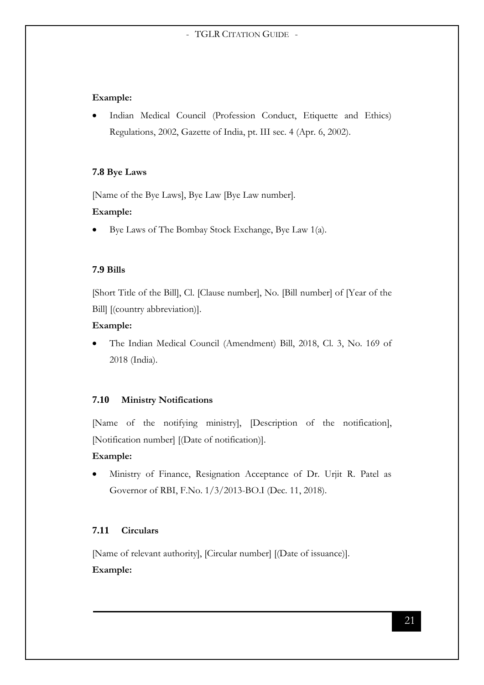#### **Example:**

 Indian Medical Council (Profession Conduct, Etiquette and Ethics) Regulations, 2002, Gazette of India, pt. III sec. 4 (Apr. 6, 2002).

#### <span id="page-20-0"></span>**7.8 Bye Laws**

[Name of the Bye Laws], Bye Law [Bye Law number].

#### **Example:**

Bye Laws of The Bombay Stock Exchange, Bye Law 1(a).

#### <span id="page-20-1"></span>**7.9 Bills**

[Short Title of the Bill], Cl. [Clause number], No. [Bill number] of [Year of the Bill] [(country abbreviation)].

#### **Example:**

 The Indian Medical Council (Amendment) Bill, 2018, Cl. 3, No. 169 of 2018 (India).

#### <span id="page-20-2"></span>**7.10 Ministry Notifications**

[Name of the notifying ministry], [Description of the notification], [Notification number] [(Date of notification)].

#### **Example:**

 Ministry of Finance, Resignation Acceptance of Dr. Urjit R. Patel as Governor of RBI, F.No. 1/3/2013-BO.I (Dec. 11, 2018).

# <span id="page-20-3"></span>**7.11 Circulars**

[Name of relevant authority], [Circular number] [(Date of issuance)]. **Example:**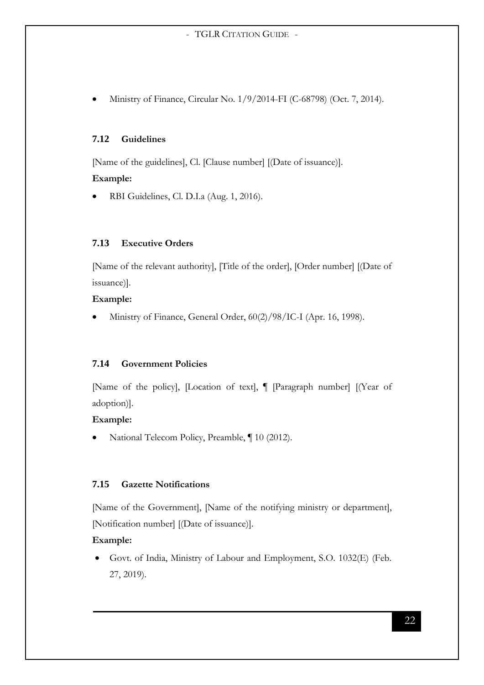Ministry of Finance, Circular No. 1/9/2014-FI (C-68798) (Oct. 7, 2014).

# <span id="page-21-0"></span>**7.12 Guidelines**

[Name of the guidelines], Cl. [Clause number] [(Date of issuance)].

#### **Example:**

RBI Guidelines, Cl. D.I.a (Aug. 1, 2016).

### <span id="page-21-1"></span>**7.13 Executive Orders**

[Name of the relevant authority], [Title of the order], [Order number] [(Date of issuance)].

# **Example:**

Ministry of Finance, General Order, 60(2)/98/IC-I (Apr. 16, 1998).

# <span id="page-21-2"></span>**7.14 Government Policies**

[Name of the policy], [Location of text], ¶ [Paragraph number] [(Year of adoption)].

#### **Example:**

National Telecom Policy, Preamble, ¶ 10 (2012).

# <span id="page-21-3"></span>**7.15 Gazette Notifications**

[Name of the Government], [Name of the notifying ministry or department], [Notification number] [(Date of issuance)].

# **Example:**

 Govt. of India, Ministry of Labour and Employment, S.O. 1032(E) (Feb. 27, 2019).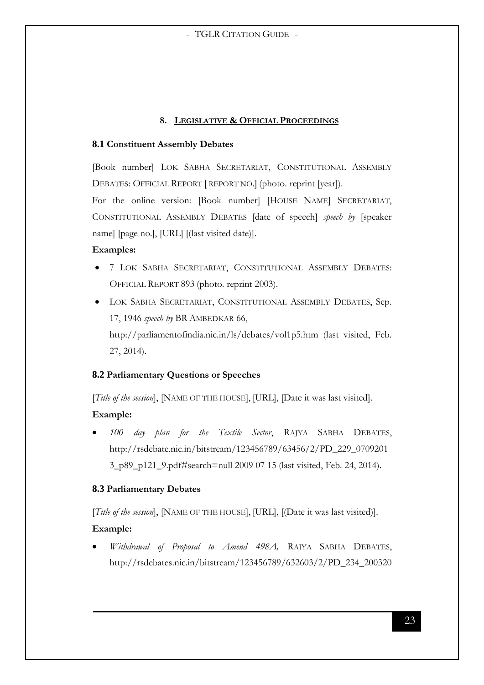#### **8. LEGISLATIVE & OFFICIAL PROCEEDINGS**

#### <span id="page-22-1"></span><span id="page-22-0"></span>**8.1 Constituent Assembly Debates**

[Book number] LOK SABHA SECRETARIAT, CONSTITUTIONAL ASSEMBLY DEBATES: OFFICIAL REPORT [REPORT NO.] (photo. reprint [year]).

For the online version: [Book number] [HOUSE NAME] SECRETARIAT, CONSTITUTIONAL ASSEMBLY DEBATES [date of speech] *speech by* [speaker name] [page no.], [URL] [(last visited date)].

#### **Examples:**

- 7 LOK SABHA SECRETARIAT, CONSTITUTIONAL ASSEMBLY DEBATES: OFFICIAL REPORT 893 (photo. reprint 2003).
- LOK SABHA SECRETARIAT, CONSTITUTIONAL ASSEMBLY DEBATES, Sep. 17, 1946 *speech by* BR AMBEDKAR 66, <http://parliamentofindia.nic.in/ls/debates/vol1p5.htm> (last visited, Feb. 27, 2014).

# <span id="page-22-2"></span>**8.2 Parliamentary Questions or Speeches**

[*Title of the session*], [NAME OF THE HOUSE], [URL], [Date it was last visited].

# **Example:**

 *100 day plan for the Textile Sector*, RAJYA SABHA DEBATES, http://rsdebate.nic.in/bitstream/123456789/63456/2/PD\_229\_0709201 3\_p89\_p121\_9.pdf#search=null 2009 07 15 (last visited, Feb. 24, 2014).

# <span id="page-22-3"></span>**8.3 Parliamentary Debates**

[*Title of the session*], [NAME OF THE HOUSE], [URL], [(Date it was last visited)].

# **Example:**

 *Withdrawal of Proposal to Amend 498A,* RAJYA SABHA DEBATES, [http://rsdebates.nic.in/bitstream/123456789/632603/2/PD\\_234\\_200320](http://rsdebates.nic.in/bitstream/123456789/632603/2/PD_234_20032014_p3666_p367_28.pdf#search=propasal to)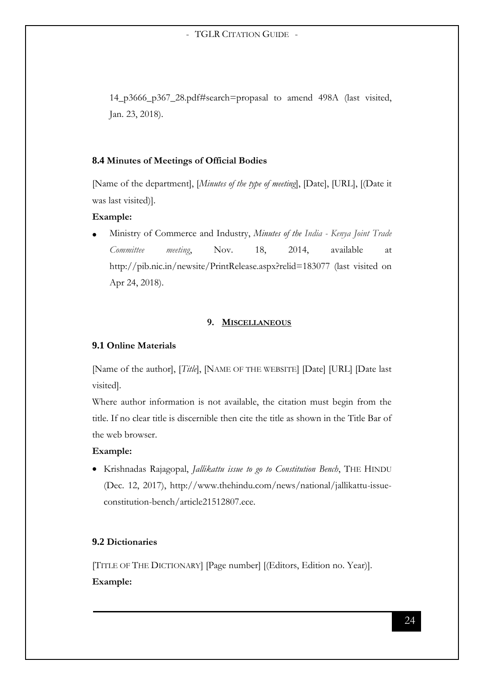14\_p3666\_p367\_28.pdf#search=propasal to amend 498A (last visited, Jan. 23, 2018).

#### <span id="page-23-0"></span>**8.4 Minutes of Meetings of Official Bodies**

[Name of the department], [*Minutes of the type of meeting*], [Date], [URL], [(Date it was last visited)].

#### **Example:**

 Ministry of Commerce and Industry, *Minutes of the India - Kenya Joint Trade Committee meeting*, Nov. 18, 2014, available at http://pib.nic.in/newsite/PrintRelease.aspx?relid=183077 (last visited on Apr 24, 2018).

#### **9. MISCELLANEOUS**

# <span id="page-23-2"></span><span id="page-23-1"></span>**9.1 Online Materials**

[Name of the author], [*Title*], [NAME OF THE WEBSITE] [Date] [URL] [Date last visited].

Where author information is not available, the citation must begin from the title. If no clear title is discernible then cite the title as shown in the Title Bar of the web browser.

#### **Example:**

 Krishnadas Rajagopal, *Jallikattu issue to go to Constitution Bench*, THE HINDU (Dec. 12, 2017), http://www.thehindu.com/news/national/jallikattu-issueconstitution-bench/article21512807.ece.

# <span id="page-23-3"></span>**9.2 Dictionaries**

[TITLE OF THE DICTIONARY] [Page number] [(Editors, Edition no. Year)]. **Example:**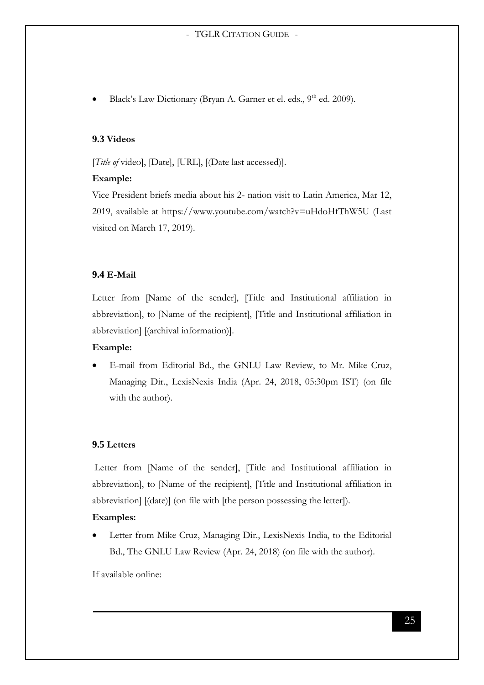Black's Law Dictionary (Bryan A. Garner et el. eds., 9<sup>th</sup> ed. 2009).

#### <span id="page-24-0"></span>**9.3 Videos**

[*Title of* video], [Date], [URL], [(Date last accessed)].

#### **Example:**

Vice President briefs media about his 2- nation visit to Latin America, Mar 12, 2019, available at https://www.youtube.com/watch?v=uHdoHfThW5U (Last visited on March 17, 2019).

#### <span id="page-24-1"></span>**9.4 E-Mail**

Letter from [Name of the sender], [Title and Institutional affiliation in abbreviation], to [Name of the recipient], [Title and Institutional affiliation in abbreviation] [(archival information)].

#### **Example:**

 E-mail from Editorial Bd., the GNLU Law Review, to Mr. Mike Cruz, Managing Dir., LexisNexis India (Apr. 24, 2018, 05:30pm IST) (on file with the author).

# <span id="page-24-2"></span>**9.5 Letters**

Letter from [Name of the sender], [Title and Institutional affiliation in abbreviation], to [Name of the recipient], [Title and Institutional affiliation in abbreviation] [(date)] (on file with [the person possessing the letter]).

#### **Examples:**

 Letter from Mike Cruz, Managing Dir., LexisNexis India, to the Editorial Bd., The GNLU Law Review (Apr. 24, 2018) (on file with the author).

If available online: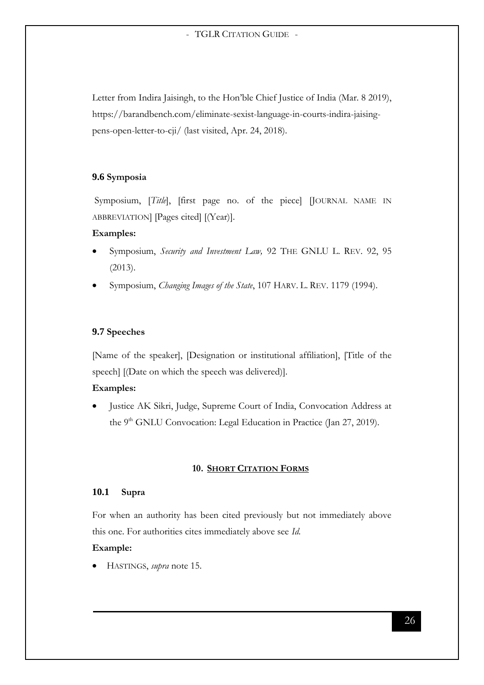Letter from Indira Jaisingh, to the Hon'ble Chief Justice of India (Mar. 8 2019), https://barandbench.com/eliminate-sexist-language-in-courts-indira-jaisingpens-open-letter-to-cji/ (last visited, Apr. 24, 2018).

#### <span id="page-25-0"></span>**9.6 Symposia**

Symposium, [*Title*], [first page no. of the piece] [JOURNAL NAME IN ABBREVIATION] [Pages cited] [(Year)].

#### **Examples:**

- Symposium, *Security and Investment Law,* 92 THE GNLU L. REV. 92, 95 (2013).
- Symposium, *Changing Images of the State*, 107 HARV. L. REV. 1179 (1994).

#### <span id="page-25-1"></span>**9.7 Speeches**

[Name of the speaker], [Designation or institutional affiliation], [Title of the speech] [(Date on which the speech was delivered)].

#### **Examples:**

 Justice AK Sikri, Judge, Supreme Court of India, Convocation Address at the 9<sup>th</sup> GNLU Convocation: Legal Education in Practice (Jan 27, 2019).

#### **10. SHORT CITATION FORMS**

#### <span id="page-25-3"></span><span id="page-25-2"></span>**10.1 Supra**

For when an authority has been cited previously but not immediately above this one. For authorities cites immediately above see *Id.*

# **Example:**

HASTINGS, *supra* note 15.